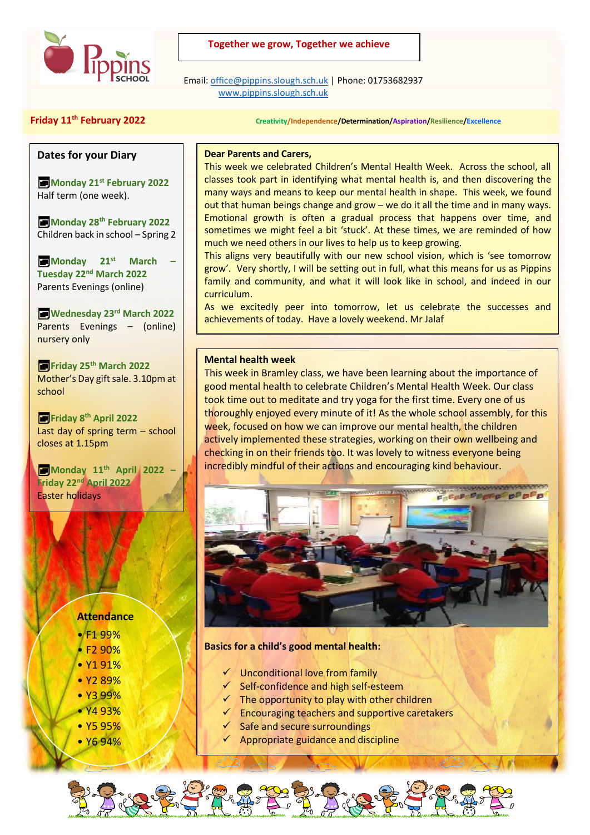

## **Together we grow, Together we achieve**

 Email[: office@pippins.slough.sch.uk](mailto:office@pippins.slough.sch.uk) | Phone: 01753682937 [www.pippins.slough.sch.uk](http://www.pippins.slough.sch.uk/)

**Friday 11th February 2022 Creativity/Independence/Determination/Aspiration/Resilience/Excellence**

## **Dates for your Diary**

**Monday 21st February 2022** Half term (one week).

**Monday 28th February 2022** Children back in school – Spring 2

**Monday 21st March – Tuesday 22nd March 2022** Parents Evenings (online)

**Wednesday 23rd March 2022** Parents Evenings – (online) nursery only

**Friday 25th March 2022** Mother's Day gift sale. 3.10pm at school

**Friday 8th April 2022** Last day of spring term – school closes at 1.15pm

**Monday 11th April 2022 – Friday 22nd April 2022** Easter holidays

# **Attendance**

- F1 99%
- F2 90%
- Y1 91%
- Y2 89%
- Y3 99%
- Y4 93%
- Y5 95%
- Y6 94%

## **Dear Parents and Carers,**

This week we celebrated Children's Mental Health Week. Across the school, all classes took part in identifying what mental health is, and then discovering the many ways and means to keep our mental health in shape. This week, we found out that human beings change and grow – we do it all the time and in many ways. Emotional growth is often a gradual process that happens over time, and sometimes we might feel a bit 'stuck'. At these times, we are reminded of how much we need others in our lives to help us to keep growing.  

This aligns very beautifully with our new school vision, which is 'see tomorrow grow'. Very shortly, I will be setting out in full, what this means for us as Pippins family and community, and what it will look like in school, and indeed in our curriculum.

As we excitedly peer into tomorrow, let us celebrate the successes and achievements of today. Have a lovely weekend. Mr Jalaf

#### **Mental health week**

This week in Bramley class, we have been learning about the importance of good mental health to celebrate Children's Mental Health Week. Our class took time out to meditate and try yoga for the first time. Every one of us thoroughly enjoyed every minute of it! As the whole school assembly, for this week, focused on how we can improve our mental health, the children actively implemented these strategies, working on their own wellbeing and checking in on their friends too. It was lovely to witness everyone being incredibly mindful of their actions and encouraging kind behaviour.



## **Basics for a child's good mental health:**

- ✓ Unconditional love from family
- ✓ Self-confidence and high self-esteem
- $\checkmark$  The opportunity to play with other children
- $\checkmark$  Encouraging teachers and supportive caretakers
- Safe and secure surroundings
- Appropriate guidance and discipline